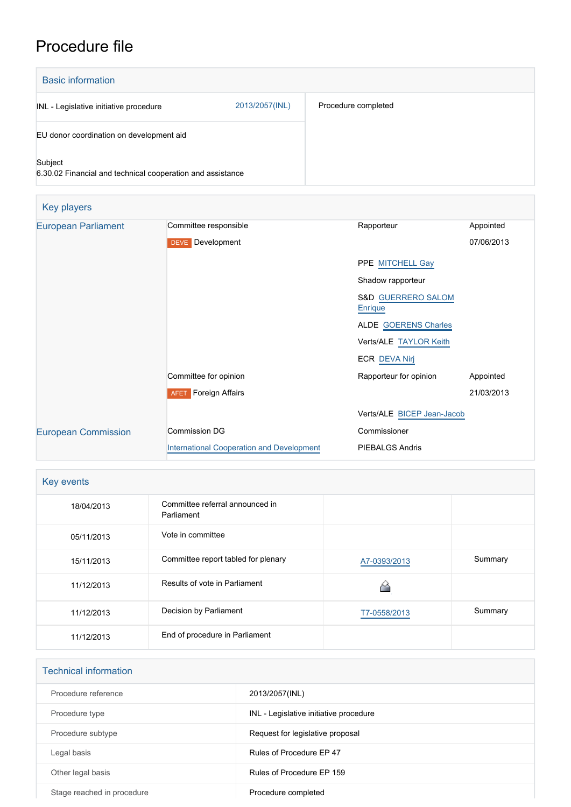## Procedure file

| <b>Basic information</b>                                              |                |                     |
|-----------------------------------------------------------------------|----------------|---------------------|
| INL - Legislative initiative procedure                                | 2013/2057(INL) | Procedure completed |
| EU donor coordination on development aid                              |                |                     |
| Subject<br>6.30.02 Financial and technical cooperation and assistance |                |                     |

| Key players                |                                           |                                          |            |
|----------------------------|-------------------------------------------|------------------------------------------|------------|
| <b>European Parliament</b> | Committee responsible                     | Rapporteur                               | Appointed  |
|                            | <b>DEVE</b> Development                   |                                          | 07/06/2013 |
|                            |                                           | PPE MITCHELL Gay                         |            |
|                            |                                           | Shadow rapporteur                        |            |
|                            |                                           | <b>S&amp;D GUERRERO SALOM</b><br>Enrique |            |
|                            |                                           | <b>ALDE GOERENS Charles</b>              |            |
|                            |                                           | Verts/ALE TAYLOR Keith                   |            |
|                            |                                           | <b>ECR DEVA Nirj</b>                     |            |
|                            | Committee for opinion                     | Rapporteur for opinion                   | Appointed  |
|                            | <b>AFET</b> Foreign Affairs               |                                          | 21/03/2013 |
|                            |                                           | Verts/ALE BICEP Jean-Jacob               |            |
| <b>European Commission</b> | <b>Commission DG</b>                      | Commissioner                             |            |
|                            | International Cooperation and Development | <b>PIEBALGS Andris</b>                   |            |

| Key events |                                               |              |         |
|------------|-----------------------------------------------|--------------|---------|
| 18/04/2013 | Committee referral announced in<br>Parliament |              |         |
| 05/11/2013 | Vote in committee                             |              |         |
| 15/11/2013 | Committee report tabled for plenary           | A7-0393/2013 | Summary |
| 11/12/2013 | Results of vote in Parliament                 |              |         |
| 11/12/2013 | Decision by Parliament                        | T7-0558/2013 | Summary |
| 11/12/2013 | End of procedure in Parliament                |              |         |

| <b>Technical information</b> |                                        |  |  |
|------------------------------|----------------------------------------|--|--|
| Procedure reference          | 2013/2057(INL)                         |  |  |
| Procedure type               | INL - Legislative initiative procedure |  |  |
| Procedure subtype            | Request for legislative proposal       |  |  |
| Legal basis                  | Rules of Procedure EP 47               |  |  |
| Other legal basis            | Rules of Procedure EP 159              |  |  |
| Stage reached in procedure   | Procedure completed                    |  |  |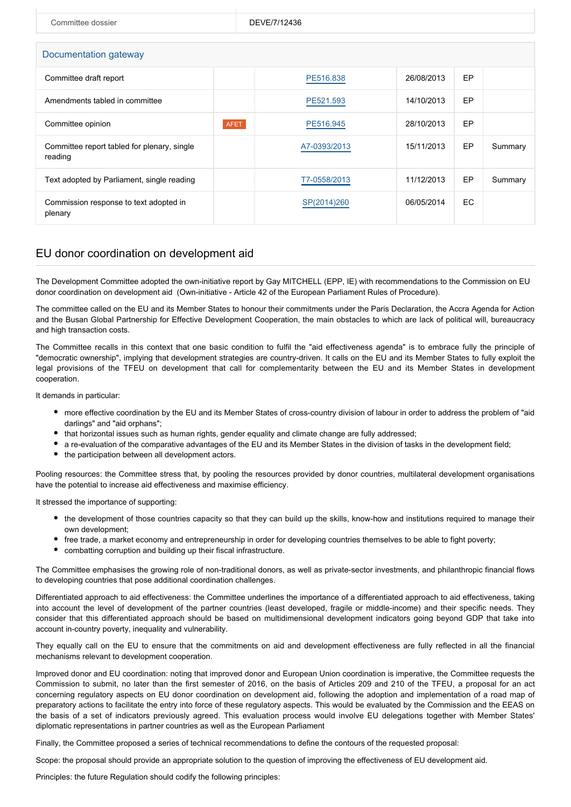| Committee dossier                                      |             | DEVE/7/12436 |            |           |         |  |  |
|--------------------------------------------------------|-------------|--------------|------------|-----------|---------|--|--|
|                                                        |             |              |            |           |         |  |  |
| Documentation gateway                                  |             |              |            |           |         |  |  |
| Committee draft report                                 |             | PE516.838    | 26/08/2013 | <b>EP</b> |         |  |  |
| Amendments tabled in committee                         |             | PE521.593    | 14/10/2013 | EP        |         |  |  |
| Committee opinion                                      | <b>AFET</b> | PE516.945    | 28/10/2013 | <b>EP</b> |         |  |  |
| Committee report tabled for plenary, single<br>reading |             | A7-0393/2013 | 15/11/2013 | EP        | Summary |  |  |
| Text adopted by Parliament, single reading             |             | T7-0558/2013 | 11/12/2013 | EP        | Summary |  |  |
| Commission response to text adopted in<br>plenary      |             | SP(2014)260  | 06/05/2014 | EC        |         |  |  |

## EU donor coordination on development aid

The Development Committee adopted the own-initiative report by Gay MITCHELL (EPP, IE) with recommendations to the Commission on EU donor coordination on development aid (Own-initiative - Article 42 of the European Parliament Rules of Procedure).

The committee called on the EU and its Member States to honour their commitments under the Paris Declaration, the Accra Agenda for Action and the Busan Global Partnership for Effective Development Cooperation, the main obstacles to which are lack of political will, bureaucracy and high transaction costs.

The Committee recalls in this context that one basic condition to fulfil the "aid effectiveness agenda" is to embrace fully the principle of "democratic ownership", implying that development strategies are country-driven. It calls on the EU and its Member States to fully exploit the legal provisions of the TFEU on development that call for complementarity between the EU and its Member States in development cooperation.

It demands in particular:

- more effective coordination by the EU and its Member States of cross-country division of labour in order to address the problem of "aid darlings" and "aid orphans";
- that horizontal issues such as human rights, gender equality and climate change are fully addressed;
- a re-evaluation of the comparative advantages of the EU and its Member States in the division of tasks in the development field;
- the participation between all development actors.

Pooling resources: the Committee stress that, by pooling the resources provided by donor countries, multilateral development organisations have the potential to increase aid effectiveness and maximise efficiency.

It stressed the importance of supporting:

- the development of those countries capacity so that they can build up the skills, know-how and institutions required to manage their own development;
- free trade, a market economy and entrepreneurship in order for developing countries themselves to be able to fight poverty;
- combatting corruption and building up their fiscal infrastructure.

The Committee emphasises the growing role of non-traditional donors, as well as private-sector investments, and philanthropic financial flows to developing countries that pose additional coordination challenges.

Differentiated approach to aid effectiveness: the Committee underlines the importance of a differentiated approach to aid effectiveness, taking into account the level of development of the partner countries (least developed, fragile or middle-income) and their specific needs. They consider that this differentiated approach should be based on multidimensional development indicators going beyond GDP that take into account in-country poverty, inequality and vulnerability.

They equally call on the EU to ensure that the commitments on aid and development effectiveness are fully reflected in all the financial mechanisms relevant to development cooperation.

Improved donor and EU coordination: noting that improved donor and European Union coordination is imperative, the Committee requests the Commission to submit, no later than the first semester of 2016, on the basis of Articles 209 and 210 of the TFEU, a proposal for an act concerning regulatory aspects on EU donor coordination on development aid, following the adoption and implementation of a road map of preparatory actions to facilitate the entry into force of these regulatory aspects. This would be evaluated by the Commission and the EEAS on the basis of a set of indicators previously agreed. This evaluation process would involve EU delegations together with Member States' diplomatic representations in partner countries as well as the European Parliament

Finally, the Committee proposed a series of technical recommendations to define the contours of the requested proposal:

Scope: the proposal should provide an appropriate solution to the question of improving the effectiveness of EU development aid.

Principles: the future Regulation should codify the following principles: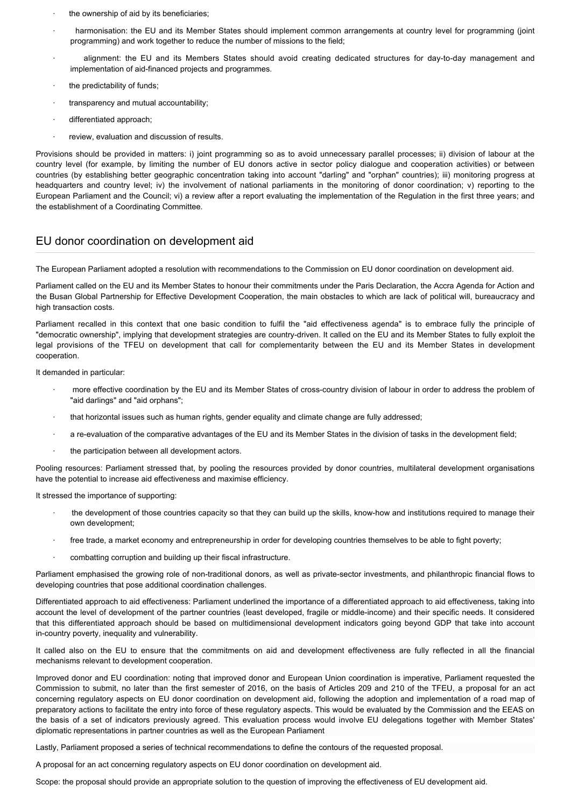- the ownership of aid by its beneficiaries;
- harmonisation: the EU and its Member States should implement common arrangements at country level for programming (joint programming) and work together to reduce the number of missions to the field;
- · alignment: the EU and its Members States should avoid creating dedicated structures for day-to-day management and implementation of aid-financed projects and programmes.
- the predictability of funds;
- · transparency and mutual accountability;
- differentiated approach;
- review, evaluation and discussion of results.

Provisions should be provided in matters: i) joint programming so as to avoid unnecessary parallel processes; ii) division of labour at the country level (for example, by limiting the number of EU donors active in sector policy dialogue and cooperation activities) or between countries (by establishing better geographic concentration taking into account "darling" and "orphan" countries); iii) monitoring progress at headquarters and country level; iv) the involvement of national parliaments in the monitoring of donor coordination; v) reporting to the European Parliament and the Council; vi) a review after a report evaluating the implementation of the Regulation in the first three years; and the establishment of a Coordinating Committee.

## EU donor coordination on development aid

The European Parliament adopted a resolution with recommendations to the Commission on EU donor coordination on development aid.

Parliament called on the EU and its Member States to honour their commitments under the Paris Declaration, the Accra Agenda for Action and the Busan Global Partnership for Effective Development Cooperation, the main obstacles to which are lack of political will, bureaucracy and high transaction costs.

Parliament recalled in this context that one basic condition to fulfil the "aid effectiveness agenda" is to embrace fully the principle of "democratic ownership", implying that development strategies are country-driven. It called on the EU and its Member States to fully exploit the legal provisions of the TFEU on development that call for complementarity between the EU and its Member States in development cooperation.

It demanded in particular:

- more effective coordination by the EU and its Member States of cross-country division of labour in order to address the problem of "aid darlings" and "aid orphans";
- · that horizontal issues such as human rights, gender equality and climate change are fully addressed;
- · a re-evaluation of the comparative advantages of the EU and its Member States in the division of tasks in the development field;
- the participation between all development actors.

Pooling resources: Parliament stressed that, by pooling the resources provided by donor countries, multilateral development organisations have the potential to increase aid effectiveness and maximise efficiency.

It stressed the importance of supporting:

- · the development of those countries capacity so that they can build up the skills, know-how and institutions required to manage their own development;
- free trade, a market economy and entrepreneurship in order for developing countries themselves to be able to fight poverty;
- · combatting corruption and building up their fiscal infrastructure.

Parliament emphasised the growing role of non-traditional donors, as well as private-sector investments, and philanthropic financial flows to developing countries that pose additional coordination challenges.

Differentiated approach to aid effectiveness: Parliament underlined the importance of a differentiated approach to aid effectiveness, taking into account the level of development of the partner countries (least developed, fragile or middle-income) and their specific needs. It considered that this differentiated approach should be based on multidimensional development indicators going beyond GDP that take into account in-country poverty, inequality and vulnerability.

It called also on the EU to ensure that the commitments on aid and development effectiveness are fully reflected in all the financial mechanisms relevant to development cooperation.

Improved donor and EU coordination: noting that improved donor and European Union coordination is imperative, Parliament requested the Commission to submit, no later than the first semester of 2016, on the basis of Articles 209 and 210 of the TFEU, a proposal for an act concerning regulatory aspects on EU donor coordination on development aid, following the adoption and implementation of a road map of preparatory actions to facilitate the entry into force of these regulatory aspects. This would be evaluated by the Commission and the EEAS on the basis of a set of indicators previously agreed. This evaluation process would involve EU delegations together with Member States' diplomatic representations in partner countries as well as the European Parliament

Lastly, Parliament proposed a series of technical recommendations to define the contours of the requested proposal.

A proposal for an act concerning regulatory aspects on EU donor coordination on development aid.

Scope: the proposal should provide an appropriate solution to the question of improving the effectiveness of EU development aid.